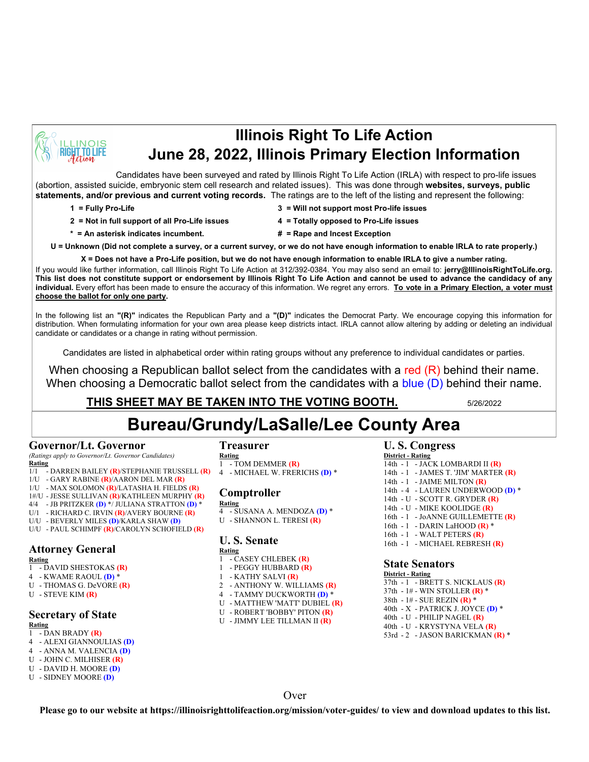

## **Illinois Right To Life Action June 28, 2022, Illinois Primary Election Information**

Candidates have been surveyed and rated by Illinois Right To Life Action (IRLA) with respect to pro-life issues (abortion, assisted suicide, embryonic stem cell research and related issues). This was done through **websites, surveys, public statements, and/or previous and current voting records.** The ratings are to the left of the listing and represent the following:

- **1 = Fully Pro-Life 3 = Will not support most Pro-life issues**
- **2 = Not in full support of all Pro-Life issues 4 = Totally opposed to Pro-Life issues**
- 
- **\* = An asterisk indicates incumbent. # = Rape and Incest Exception**
- -
- 

**U = Unknown (Did not complete a survey, or a current survey, or we do not have enough information to enable IRLA to rate properly.)**

**X = Does not have a Pro-Life position, but we do not have enough information to enable IRLA to give a number rating.** 

If you would like further information, call Illinois Right To Life Action at 312/392-0384. You may also send an email to: **jerry@IllinoisRightToLife.org. This list does not constitute support or endorsement by Illinois Right To Life Action and cannot be used to advance the candidacy of any individual.** Every effort has been made to ensure the accuracy of this information. We regret any errors. **To vote in a Primary Election, a voter must choose the ballot for only one party.**

In the following list an **"(R)"** indicates the Republican Party and a **"(D)"** indicates the Democrat Party. We encourage copying this information for distribution. When formulating information for your own area please keep districts intact. IRLA cannot allow altering by adding or deleting an individual candidate or candidates or a change in rating without permission.

Candidates are listed in alphabetical order within rating groups without any preference to individual candidates or parties.

When choosing a Republican ballot select from the candidates with a red  $(R)$  behind their name. When choosing a Democratic ballot select from the candidates with a blue (D) behind their name.

## **THIS SHEET MAY BE TAKEN INTO THE VOTING BOOTH.** 5/26/2022

# **Bureau/Grundy/LaSalle/Lee County Area**

#### **Governor/Lt. Governor**

*(Ratings apply to Governor/Lt. Governor Candidates)* **Rating**

- 1/1 DARREN BAILEY **(R)**/STEPHANIE TRUSSELL **(R)**
- 1/U GARY RABINE **(R)**/AARON DEL MAR **(R)**
- 1/U MAX SOLOMON **(R)**/LATASHA H. FIELDS **(R)**
- 1#/U JESSE SULLIVAN **(R)**/KATHLEEN MURPHY **(R)**
- 4/4 JB PRITZKER **(D)** \*/ JULIANA STRATTON **(D)** \*
- U/1 RICHARD C. IRVIN **(R)**/AVERY BOURNE **(R)** U/U - BEVERLY MILES **(D)**/KARLA SHAW **(D)**
- U/U PAUL SCHIMPF **(R)**/CAROLYN SCHOFIELD **(R)**

## **Attorney General**

- **Rating**
- 1 DAVID SHESTOKAS **(R)**
- 4 KWAME RAOUL **(D)** \*
- U THOMAS G. DeVORE **(R)**
- U STEVE KIM **(R)**

### **Secretary of State**

#### **Rating**

- 1 DAN BRADY **(R)**
- 4 ALEXI GIANNOULIAS **(D)** 4 - ANNA M. VALENCIA **(D)**
- U JOHN C. MILHISER **(R)**
- U DAVID H. MOORE **(D)**
- U SIDNEY MOORE **(D)**

### **Treasurer**

- **Rating** 1 - TOM DEMMER **(R)** 4 - MICHAEL W. FRERICHS **(D)** \*
- **Comptroller**
- **Rating** 4 - SUSANA A. MENDOZA **(D)** \*
- U SHANNON L. TERESI **(R)**

## **U. S. Senate**

- **Rating**
- 1 CASEY CHLEBEK **(R)** 1 - PEGGY HUBBARD **(R)**
- 1 KATHY SALVI **(R)**
- 2 ANTHONY W. WILLIAMS **(R)**
- 4 TAMMY DUCKWORTH **(D)** \*
- U MATTHEW 'MATT' DUBIEL **(R)**
- U ROBERT 'BOBBY' PITON **(R)**
- U JIMMY LEE TILLMAN II **(R)**

#### **U. S. Congress**

**District - Rating** 14th - 1 - JACK LOMBARDI II **(R)** 14th - 1 - JAMES T. 'JIM' MARTER **(R)** 14th - 1 - JAIME MILTON **(R)** 14th - 4 - LAUREN UNDERWOOD **(D)** \* 14th - U - SCOTT R. GRYDER **(R)** 14th - U - MIKE KOOLIDGE **(R)** 16th - 1 - JoANNE GUILLEMETTE **(R)** 16th - 1 - DARIN LaHOOD **(R)** \* 16th - 1 - WALT PETERS **(R)** 16th - 1 - MICHAEL REBRESH **(R)**

#### **State Senators**

**District - Rating** 37th - 1 - BRETT S. NICKLAUS **(R)** 37th - 1# - WIN STOLLER **(R)** \* 38th - 1# - SUE REZIN **(R)** \* 40th - X - PATRICK J. JOYCE **(D)** \* 40th - U - PHILIP NAGEL **(R)** 40th - U - KRYSTYNA VELA **(R)** 53rd - 2 - JASON BARICKMAN **(R)** \*

**Over** 

**Please go to our website at https://illinoisrighttolifeaction.org/mission/voter-guides/ to view and download updates to this list.**